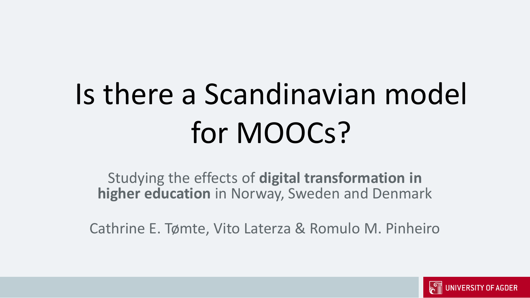# Is there a Scandinavian model for MOOCs?

Studying the effects of **digital transformation in higher education** in Norway, Sweden and Denmark

Cathrine E. Tømte, Vito Laterza & Romulo M. Pinheiro

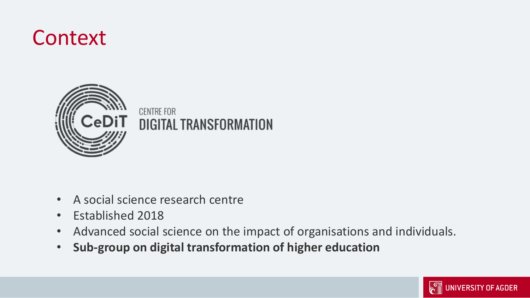### Context



**CENTRE FOR DIGITAL TRANSFORMATION** 

- A social science research centre
- Established 2018
- Advanced social science on the impact of organisations and individuals.
- **Sub-group on digital transformation of higher education**

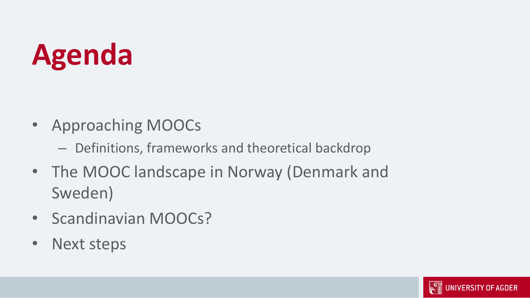## **Agenda**

- Approaching MOOCs
	- Definitions, frameworks and theoretical backdrop
- The MOOC landscape in Norway (Denmark and Sweden)
- Scandinavian MOOCs?
- Next steps

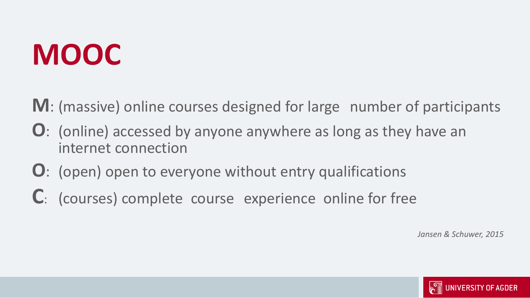### **MOOC**

**M**: (massive) online courses designed for large number of participants

- **O**: (online) accessed by anyone anywhere as long as they have an internet connection
- **O**: (open) open to everyone without entry qualifications
- **C**: (courses) complete course experience online for free

*Jansen & Schuwer, 2015*

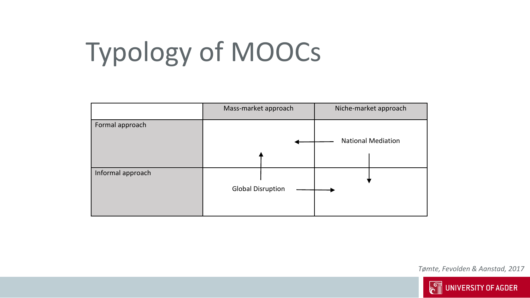### Typology of MOOCs



*Tømte, Fevolden & Aanstad, 2017*

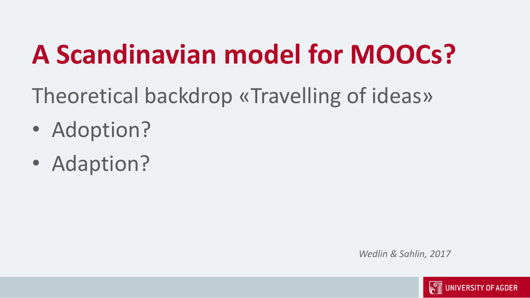### **A Scandinavian model for MOOCs?**

Theoretical backdrop «Travelling of ideas»

- Adoption?
- Adaption?

*Wedlin & Sahlin, 2017*

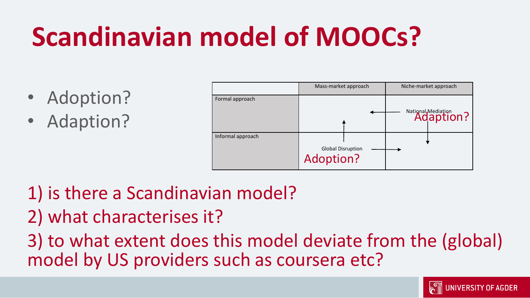### **Scandinavian model of MOOCs?**

- Adoption?
- Adaption?



- 1) is there a Scandinavian model?
- 2) what characterises it?

3) to what extent does this model deviate from the (global) model by US providers such as coursera etc?

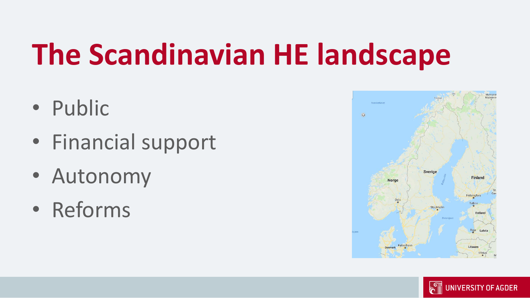### **The Scandinavian HE landscape**

- Public
- Financial support
- Autonomy
- Reforms



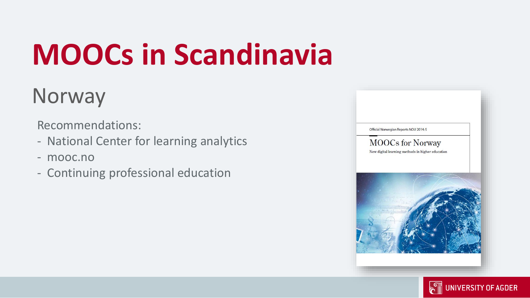## **MOOCs in Scandinavia**

### Norway

Recommendations:

- National Center for learning analytics
- mooc.no
- Continuing professional education



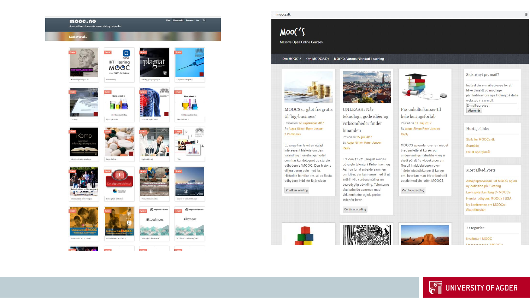

### moocs.dk

### $Moo(')$

Massive Open Online Courses

### Om MOOC'S Om MOOCS.Dk MOOCs Versus Blended Learning

UNLEASH: Når

Posted on 25, juli 2017

hinanden

Reply

teknologi, gode idéer og

virksomheder finder

By Asger Simon Rønn Jensen

Fra den 13.-21. august mødes

Aarhus for at arbejde sammen

indfri FN's verdensmål for en

skal arbejde sammen med

virksomheder og eksperter

indenfor hvert

Continue reading

udvalgte talenter i København og

om idéer, der kan være med til at

bæredygtig udvikling. Talenterne



MOOCS er gået fra gratis til 'big-business' Posted on 19. september 2017 By Asger Simon Rønn Jensen 2 Comments

Edsurge har lavet en rigtigt interessant historie om den forandring i forretningsmodel, som har kendetegnet de største udbydere af MOOC. Den historie vil jeg gerne dele med jer. Historien handler om, at de fleste udbydere indtil for få år siden

Continue reading











Fra enkelte kurser til

By Asger Simon Rønn Jensen

om, hvordan man bliver bedre til

at tale med sin leder. MOOCS

Continue reading

hele læringsforløb

Posted on 31. maj 2017

Reply

20

Most Liked Posts Arbejdsprocessen i et MOOC og en ny definition på E-læring Læringstanken bag C-MOOCs

Hvorfor udbydes MOOCs i USA Ny konference om MOOCs i Skandinavien

### Kategorier

Kvaliteter i MOOC processor i MOOC's



websted via e-mail.

Skriv for MOOCs dk

Sidste nyt pr. mail?

Indtast din e-mail-adresse for at blive tilmeldt og modtage

påmindelser om nye indlæg på dette

Startside Stil et spørgsmål

 $\overline{\mathbb{G}}$ 

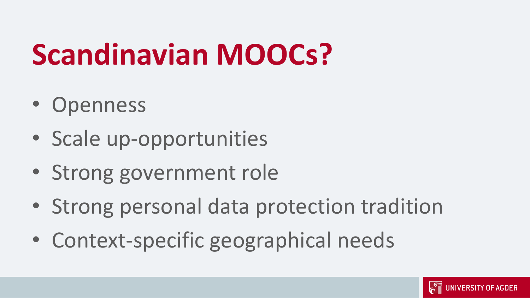### **Scandinavian MOOCs?**

- Openness
- Scale up-opportunities
- Strong government role
- Strong personal data protection tradition
- Context-specific geographical needs

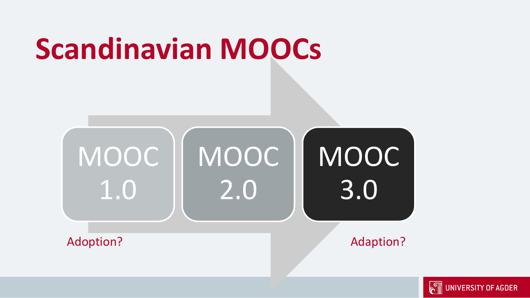### **Scandinavian MOOCs**



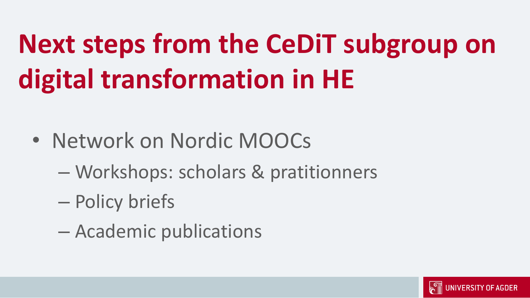## **Next steps from the CeDiT subgroup on digital transformation in HE**

- Network on Nordic MOOCs
	- Workshops: scholars & pratitionners
	- Policy briefs
	- Academic publications

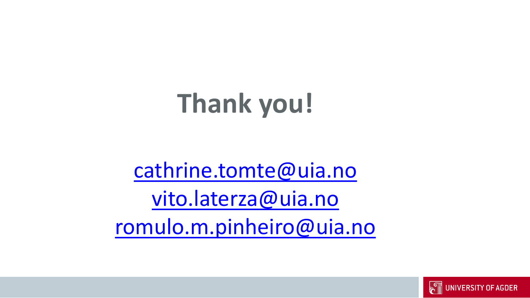### **Thank you!**

[cathrine.tomte@uia.no](mailto:cathrine.tomte@uia.no) [vito.laterza@uia.no](mailto:vito.laterza@uia.no) [romulo.m.pinheiro@uia.no](mailto:romulo.m.pinheiro@uia.no)